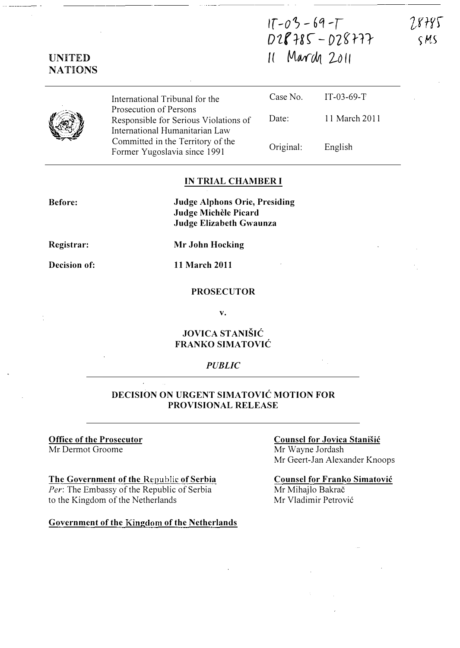# $17 - 03 - 69 - 7$  $D28785 - D28777$  $11$  March 2011

7.8785 S MS

|  | International Tribunal for the                                                                    | Case No.  | IT-03-69-T    |
|--|---------------------------------------------------------------------------------------------------|-----------|---------------|
|  | Prosecution of Persons<br>Responsible for Serious Violations of<br>International Humanitarian Law | Date:     | 11 March 2011 |
|  | Committed in the Territory of the<br>Former Yugoslavia since 1991                                 | Original: | English       |

### IN TRIAL CHAMBER I

Judge Alphons Orie, Presiding Judge Michèle Picard Judge Elizabeth Gwaunza

Registrar:

Before:

UNITED **NATIONS** 

Mr John Hocking

Decision of:

11 March 2011

#### PROSECUTOR

v.

### JOVICA STANISIC FRANKO SIMATOVIC

#### PUBLIC

### DECISION ON URGENT SIMATOVIC MOTION FOR PROVISIONAL RELEASE

#### Office of the Prosecutor Mr Dermot Groome

#### The Government of the Republic of Serbia

Per: The Embassy of the Republic of Serbia to the Kingdom of the Netherlands

#### Government of the Kingdom of the Netherlands

### Counsel for Jovica Stanisic

Mr Wayne Jordash Mr Geert-Jan Alexander Knoops

### Counsel for Franko Simatovic

Mr Mihajlo Bakrač Mr Vladimir Petrovic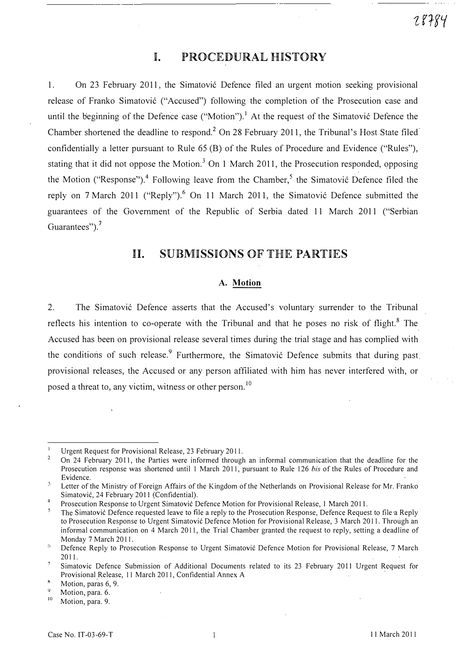# I. PROCEDURAL HISTORY

1. On 23 February 2011, the Simatovic Defence filed an urgent motion seeking provisional release of Franko Simatovic ("Accused") following the completion of the Prosecution case and until the beginning of the Defence case ("Motion").<sup>1</sup> At the request of the Simatovic Defence the Chamber shortened the deadline to respond.<sup>2</sup> On 28 February 2011, the Tribunal's Host State filed confidentially a letter pursuant to Rule 65 (B) of the Rules of Procedure and Evidence ("Rules"), stating that it did not oppose the Motion.<sup>3</sup> On 1 March 2011, the Prosecution responded, opposing the Motion ("Response").<sup>4</sup> Following leave from the Chamber,<sup>5</sup> the Simatović Defence filed the reply on 7 March 2011 ("Reply").<sup>6</sup> On 11 March 2011, the Simatovic Defence submitted the guarantees of the Government of the Republic of Serbia dated 11 March 2011 ("Serbian Guarantees").<sup>7</sup>

# II. SUBMISSIONS OF THE PARTIES

#### A. Motion

2. The Simatovic Defence asserts that the Accused's voluntary surrender to the Tribunal reflects his intention to co-operate with the Tribunal and that he poses no risk of flight.<sup>8</sup> The Accused has been on provisional release several times during the trial stage and has complied with the conditions of such release.<sup>9</sup> Furthermore, the Simatovic Defence submits that during past provisional releases, the Accused or any person affiliated with him has never interfered with, or posed a threat to, any victim, witness or other person.<sup>10</sup>

Urgent Request for Provisional Release, 23 February 2011.

 $\overline{2}$ On 24 February 2011, the Parties were informed through an informal communication that the deadline for the Prosecution response was shortened until 1 March 2011, pursuant to Rule 126 *bis* of the Rules of Procedure and Evidence.

 $\mathfrak{Z}$ Letter of the Ministry of Foreign Affairs of the Kingdom of the Netherlands on Provisional Release for Mr. Franko Simatović, 24 February 2011 (Confidential). 4

Prosecution Response to Urgent Simatović Defence Motion for Provisional Release, 1 March 2011.

The Simatovic Defence requested leave to file a reply to the Prosecution Response, Defence Request to file a Reply to Prosecution Response to Urgent Simatovic Defence Motion for Provisional Release, 3 March 2011. Through an informal communication on 4 March 2011, the Trial Chamber granted the request to reply, setting a deadline of Monday 7 March 2011.

 $\mathfrak s$ Defence Reply to Prosecution Response to Urgent Simatovic Defence Motion for Provisional Release, 7 March 2011.

 $\overline{7}$ Simatovic Defence Submission of Additional Documents related to its 23 February 2011 Urgent Request for Provisional Release, 11 March 2011, Confidential Annex A

 $\boldsymbol{\mathsf{z}}$ Motion, paras 6, 9.

Motion, para. 6.

<sup>&</sup>lt;sup>10</sup> Motion, para. 9.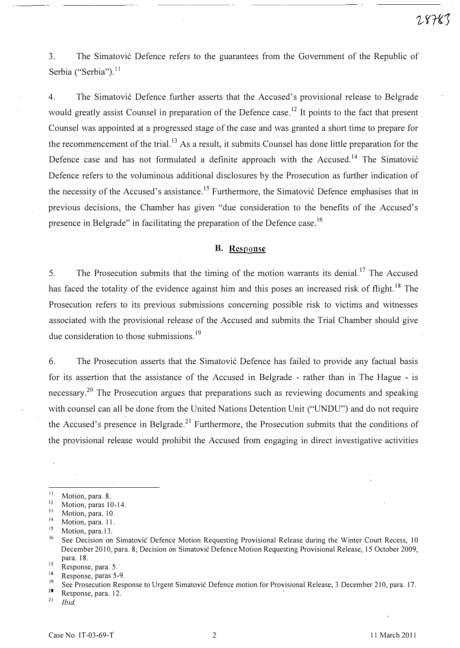3. The Simatović Defence refers to the guarantees from the Government of the Republic of Serbia ("Serbia").<sup>11</sup>

4. The Simatovi6 Defence further asserts that the Accused's provisional release to Belgrade would greatly assist Counsel in preparation of the Defence case.<sup>12</sup> It points to the fact that present Counsel was appointed at a progressed stage of the case and was granted a short time to prepare for the recommencement of the trial.<sup>13</sup> As a result, it submits Counsel has done little preparation for the Defence case and has not formulated a definite approach with the Accused.<sup>14</sup> The Simatović Defence refers to the voluminous additional disclosures by the Prosecution as further indication of the necessity of the Accused's assistance.<sup>15</sup> Furthermore, the Simatović Defence emphasises that in previous decisions, the Chamber has given "due consideration to the benefits of the Accused's presence in Belgrade" in facilitating the preparation of the Defence case.<sup>16</sup>

#### B. Response

5. The Prosecution submits that the timing of the motion warrants its denial.<sup>17</sup> The Accused has faced the totality of the evidence against him and this poses an increased risk of flight.<sup>18</sup> The Prosecution refers to its previous submissions concerning possible risk to victims and witnesses associated with the provisional release of the Accused and submits the Trial Chamber should give due consideration to those submissions.<sup>19</sup>

6. The Prosecution asserts that the Simatović Defence has failed to provide any factual basis for its assertion that the assistance of the Accused in Belgrade - rather than in The Hague - is necessary.<sup>20</sup> The Prosecution argues that preparations such as reviewing documents and speaking with counsel can all be done from the United Nations Detention Unit ("UNDU") and do not require the Accused's presence in Belgrade.<sup>21</sup> Furthermore, the Prosecution submits that the conditions of the provisional release would prohibit the Accused from engaging in direct investigative activities

 $\frac{18}{19}$  Response, paras 5-9.

<sup>1</sup> Motion, para. 8.

 $\frac{12}{13}$  Motion, paras 10-14.

 $\frac{13}{14}$  Motion, para. 10.

 $^{14}$ . Motion, para. 11.

 $^{15}$  Motion, para.13.

See Decision on Simatović Defence Motion Requesting Provisional Release during the Winter Court Recess, 10 December 2010, para. S; Decision on Simatovic Defence Motion Requesting Provisional Release, 15 October 2009, para. IS.

 $\frac{17}{18}$  Response, para. 5.

<sup>&</sup>lt;sup>19</sup>See Prosecution Response to Urgent Simatovic Defence motion for Provisional Release, 3 December 210, para. 17.

<sup>&</sup>lt;sup>20</sup>Response, para. 12.

Ibid.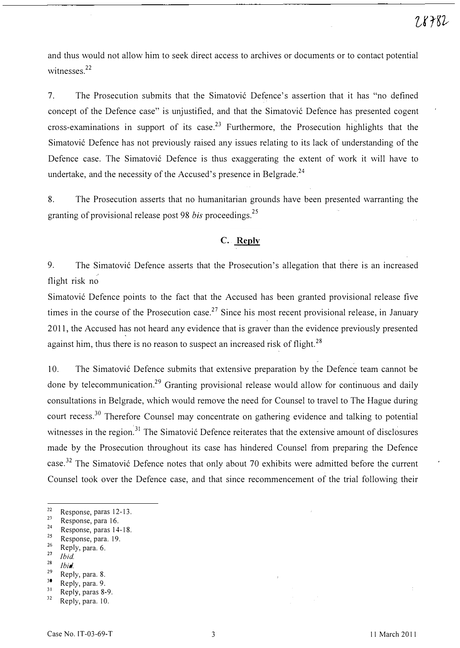and thus would not allow him to seek direct access to archives or documents or to contact potential witnesses.<sup>22</sup>

7. The Prosecution submits that the Simatović Defence's assertion that it has "no defined concept of the Defence case" is unjustified, and that the Simatović Defence has presented cogent cross-examinations in support of its case.<sup>23</sup> Furthermore, the Prosecution highlights that the Simatović Defence has not previously raised any issues relating to its lack of understanding of the Defence case. The Simatović Defence is thus exaggerating the extent of work it will have to undertake, and the necessity of the Accused's presence in Belgrade.<sup>24</sup>

8. The Prosecution asserts that no humanitarian grounds have been presented warranting the granting of provisional release post 98 *bis* proceedings.<sup>25</sup>

### C. Reply

9. The Simatovi6 Defence asserts that the Prosecution's allegation that there is an increased flight risk no

Simatović Defence points to the fact that the Accused has been granted provisional release five times in the course of the Prosecution case.<sup>27</sup> Since his most recent provisional release, in January 2011, the Accused has not heard any evidence that is graver than the evidence previously presented against him, thus there is no reason to suspect an increased risk of flight.<sup>28</sup>

10. The Simatović Defence submits that extensive preparation by the Defence team cannot be done by telecommunication.<sup>29</sup> Granting provisional release would allow for continuous and daily consultations in Belgrade, which would remove the need for Counsel to travel to The Hague during court recess.<sup>30</sup> Therefore Counsel may concentrate on gathering evidence and talking to potential witnesses in the region.<sup>31</sup> The Simatović Defence reiterates that the extensive amount of disclosures made by the Prosecution throughout its case has hindered Counsel from preparing the Defence case.<sup>32</sup> The Simatović Defence notes that only about 70 exhibits were admitted before the current Counsel took over the Defence case, and that since recommencement of the trial following their

- $\frac{23}{24}$  Response, para 16.
- <sup>24</sup> Response, paras 14-18.
- $\frac{25}{26}$  Response, para. 19.
- $\frac{26}{27}$  Reply, para. 6.
- $\frac{27}{28}$  Ibid.
- $\frac{28}{29}$  Ibid.
- $\frac{29}{30}$  Reply, para. 8.
- $\frac{30}{31}$  Reply, para. 9.

 $22$  Response, paras 12-13. 2

Reply, paras 8-9. 32

Reply, para. 10.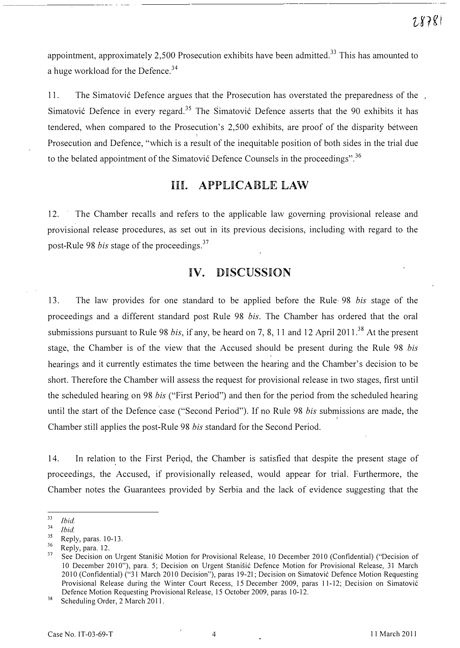appointment, approximately 2,500 Prosecution exhibits have been admitted.<sup>33</sup> This has amounted to a huge workload for the Defence.<sup>34</sup>

11. The Simatović Defence argues that the Prosecution has overstated the preparedness of the Simatović Defence in every regard.<sup>35</sup> The Simatović Defence asserts that the 90 exhibits it has tendered, when compared to the Prosecution's 2, 500 exhibits, are proof of the disparity between i. Prosecution and Defence, "which is a result of the inequitable position of both sides in the trial due to the belated appointment of the Simatović Defence Counsels in the proceedings".<sup>36</sup>

# 1H. APPLICABLE LAW

12. The Chamber recalls and refers to the applicable law governing provisional release and provisional release procedures, as set out in its previous decisions, including with regard to the post-Rule 98 bis stage of the proceedings.<sup>37</sup>

## IV. DISCUSSION

13. The law provides for one standard to be applied before the Rule 98 bis stage of the proceedings and a different standard post Rule 98 bis. The Chamber has ordered that the oral submissions pursuant to Rule 98 bis, if any, be heard on 7, 8, 11 and 12 April 2011.<sup>38</sup> At the present stage, the Chamber is of the view that the Accused should be present during the Rule 98 bis hearings and it currently estimates the time between the hearing and the Chamber's decision to be short. Therefore the Chamber will assess the request for provisional release in two stages, first until the scheduled hearing on 98 bis ("First Period") and then for the period from the scheduled hearing until the start of the Defence case ("Second Period"). If no Rule 98 bis submissions are made, the Chamber still applies the post-Rule 98 bis standard for the Second Period.

14. In relation to the First Period, the Chamber is satisfied that despite the present stage of proceedings, the Accused, if provisionally released, would appear for trial. Furthermore, the Chamber notes the Guarantees provided by Serbia and the lack of evidence suggesting that the

 $\frac{33}{34}$  Ibid.

 $\frac{34}{35}$  Ibid.

<sup>7</sup>  $\frac{35}{36}$  Reply, paras. 10-13.

 $\frac{36}{37}$  Reply, para. 12.

<sup>7</sup> See Decision on Urgent Stanišić Motion for Provisional Release, 10 December 2010 (Confidential) ("Decision of 10 December 2010"), para. 5; Decision on Urgent Stanišić Defence Motion for Provisional Release, 31 March 2010 (Confidential) ("31 March 2010 Decision"), paras 19-21; Decision on Simatović Defence Motion Requesting Provisional Release during the Winter Court Recess, 15 December 2009, paras 11-12; Decision on Simatović Defence Motion Requesting Provisional Release, 15 October 2009, paras 10-12.

 $38$  Scheduling Order, 2 March 2011.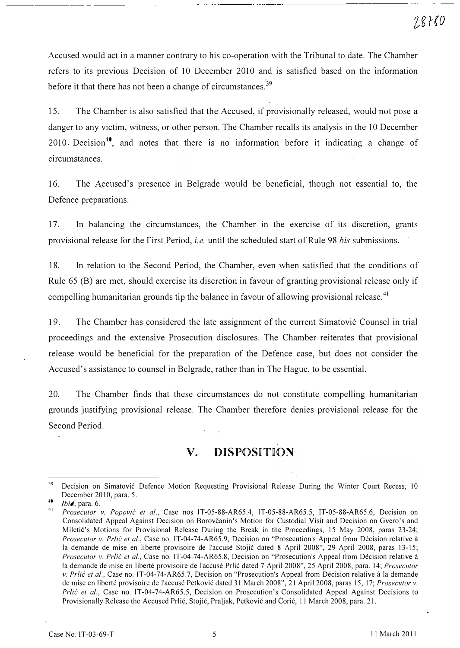Accused would act in a manner contrary to his co-operation with the Tribunal to date. The Chamber refers to its previous Decision of 10 December 2010 and is satisfied based on the information before it that there has not been a change of circumstances.<sup>39</sup>

15. The Chamber is also satisfied that the Accused, if provisionally released, would not pose a danger to any victim, witness, or other person. The Chamber recalls its analysis in the 10 December 2010 Decision<sup>40</sup>, and notes that there is no information before it indicating a change of circumstances.

16. The Accused's presence in Belgrade would be beneficial, though not essential to, the Defence preparations.

17. In balancing the circumstances, the Chamber in the exercise of its discretion, grants provisional release for the First Period, *i.e.* until the scheduled start of Rule 98 bis submissions.

18. In relation to the Second Period, the Chamber, even when satisfied that the conditions of Rule 65 (B) are met, should exercise its discretion in favour of granting provisional release only if compelling humanitarian grounds tip the balance in favour of allowing provisional release.<sup>41</sup>

19. The Chamber has considered the late assignment of the current Simatovic Counsel in trial proceedings and the extensive Prosecution disclosures. The Chamber reiterates that provisional release would be beneficial for the preparation of the Defence case, but does not consider the Accused's assistance to counsel in Belgrade, rather than in The Hague, to be essential.

20. The Chamber finds that these circumstances do not constitute compelling humanitarian grounds justifying provisional release. The Chamber therefore denies provisional release for the Second Period.

# v. DISPOSITION

<sup>&</sup>lt;sup>39</sup> Decision on Simatović Defence Motion Requesting Provisional Release During the Winter Court Recess, 10 December 2010, para. 5.

 $40$  *Ibid*, para. 6.

<sup>4</sup> Prosecutor v. Popović et al., Case nos IT-05-88-AR65.4, IT-05-88-AR65.5, IT-05-88-AR65.6, Decision on Consolidated Appeal Against Decision on Borovcanin's Motion for Custodial Visit and Decision on Gvero's and Miletić's Motions for Provisional Release During the Break in the Proceedings, 15 May 2008, paras 23-24; Prosecutor v. Prlić et al., Case no. IT-04-74-AR65.9, Decision on "Prosecution's Appeal from Décision relative à la demande de mise en liberté provisoire de l'accusé Stojić dated 8 April 2008", 29 April 2008, paras 13-15; Prosecutor v. Prlić et al., Case no. IT-04-74-AR65.8, Decision on "Prosecution's Appeal from Décision relative à la demande de mise en liberté provisoire de l'accusé Prlić dated 7 April 2008", 25 April 2008, para. 14; Prosecutor v. Prlić et al., Case no. IT-04-74-AR65.7, Decision on "Prosecution's Appeal from Décision relative à la demande de mise en liberté provisoire de l'accusé Petković dated 31 March 2008", 21 April 2008, paras 15, 17; Prosecutor v. Prlic et al., Case no. IT-04-74-AR65.5, Decision on Prosecution's Consolidated Appeal Against Decisions to Provisionally Release the Accused Prlić, Stojić, Praljak, Petković and Ćorić, 11 March 2008, para. 21.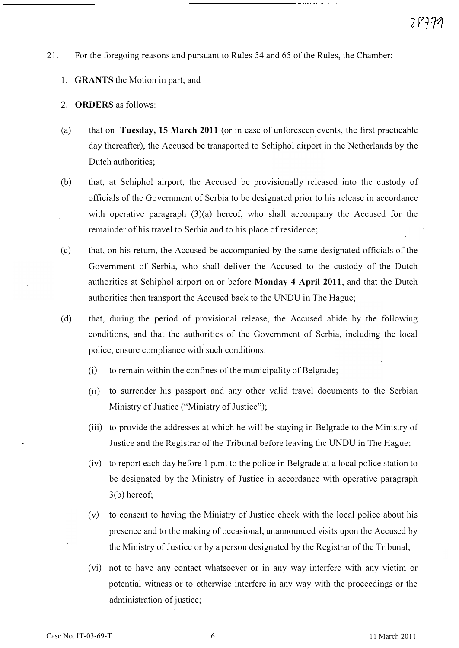- 21. For the foregoing reasons and pursuant to Rules 54 and 65 of the Rules, the Chamber:
	- 1. GRANTS the Motion in part; and
	- 2. ORDERS as follows:
	- (a) that on Tuesday, 15 March 2011 (or in case of unforeseen events, the first practicable day thereafter), the Accused be transported to Schiphol airport in the Netherlands by the Dutch authorities;
	- (b) that, at Schiphol airport, the Accused be provisionally released into the custody of officials of the Government of Serbia to be designated prior to his release in accordance with operative paragraph (3)(a) hereof, who shall accompany the Accused for the remainder of his travel to Serbia and to his place of residence;
	- (c) that, on his return, the Accused be accompanied by the same designated officials of the Government of Serbia, who shall deliver the Accused to the custody of the Dutch authorities at Schiphol airport on or before Monday 4 April 2011, and that the Dutch authorities then transport the Accused back to the UNDU in The Hague;
	- (d) that, during the period of provisional release, the Accused abide by the following conditions, and that the authorities of the Government of Serbia, including the local police, ensure compliance with such conditions:
		- (i) to remain within the confines of the municipality of Belgrade;
		- (ii) to surrender his passport and any other valid travel documents to the Serbian Ministry of Justice ("Ministry of Justice");
		- (iii) to provide the addresses at which he will be staying in Belgrade to the Ministry of Justice and the Registrar of the Tribunal before leaving the UNDU in The Hague;
		- (iv) to report each day before 1 p.m. to the police in Belgrade at a local police station to be designated by the Ministry of Justice in accordance with operative paragraph 3(b) hereof;
		- (v) to consent to having the Ministry of Justice check with the local police about his presence and to the making of occasional, unannounced visits upon the Accused by the Ministry of Justice or by a person designated by the Registrar of the Tribunal;
		- (vi) not to have any contact whatsoever or in any way interfere with any victim or potential witness or to otherwise interfere in any way with the proceedings or the administration of justice;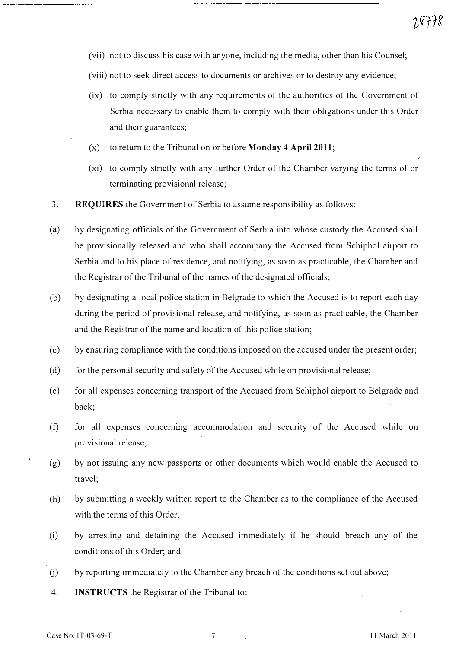- (vii) not to discuss his case with anyone, including the media, other than his Counsel;
- (viii) not to seek direct access to documents or archives or to destroy any evidence;
- (ix) to comply strictly with any requirements of the authorities of the Government of Serbia necessary to enable them to comply with their obligations under this Order and their guarantees;
- $(x)$  to return to the Tribunal on or before **Monday 4 April 2011**;
- (xi) to comply strictly with any further Order of the Chamber varying the terms of or terminating provisional release;
- 3. REQUIRES the Government of Serbia to assume responsibility as follows:
- (a) by designating officials of the Government of Serbia into whose custody the Accused shall be provisionally released and who shall accompany the Accused from Schiphol airport to Serbia and to his place of residence, and notifying, as soon as practicable, the Chamber and the Registrar of the Tribunal of the names of the designated officials;
- (b) by designating a local police station in Belgrade to which the Accused is to report each day during the period of provisional release, and notifying, as soon as practicable, the Chamber and the Registrar of the name and location of this police station;
- (c) by ensuring compliance with the conditions imposed on the accused under the present order;
- (d) for the personal security and safety of the Accused while on provisional release;
- (e) for all expenses concerning transport of the Accused from Schiphol airport to Belgrade and back;
- (f) for all expenses concerning accommodation and security of the Accused while on provisional release;
- (g) by not issuing any new passports or other documents which would enable the Accused to travel;
- (h) by submitting a weekly written report to the Chamber as to the compliance of the Accused with the terms of this Order;
- (i) by arresting and detaining the Accused immediately if he should breach any of the conditions of this Order; and
- (j) by reporting immediately to the Chamber any breach of the conditions set out above;
- 4. INSTRUCTS the Registrar of the Tribunal to: